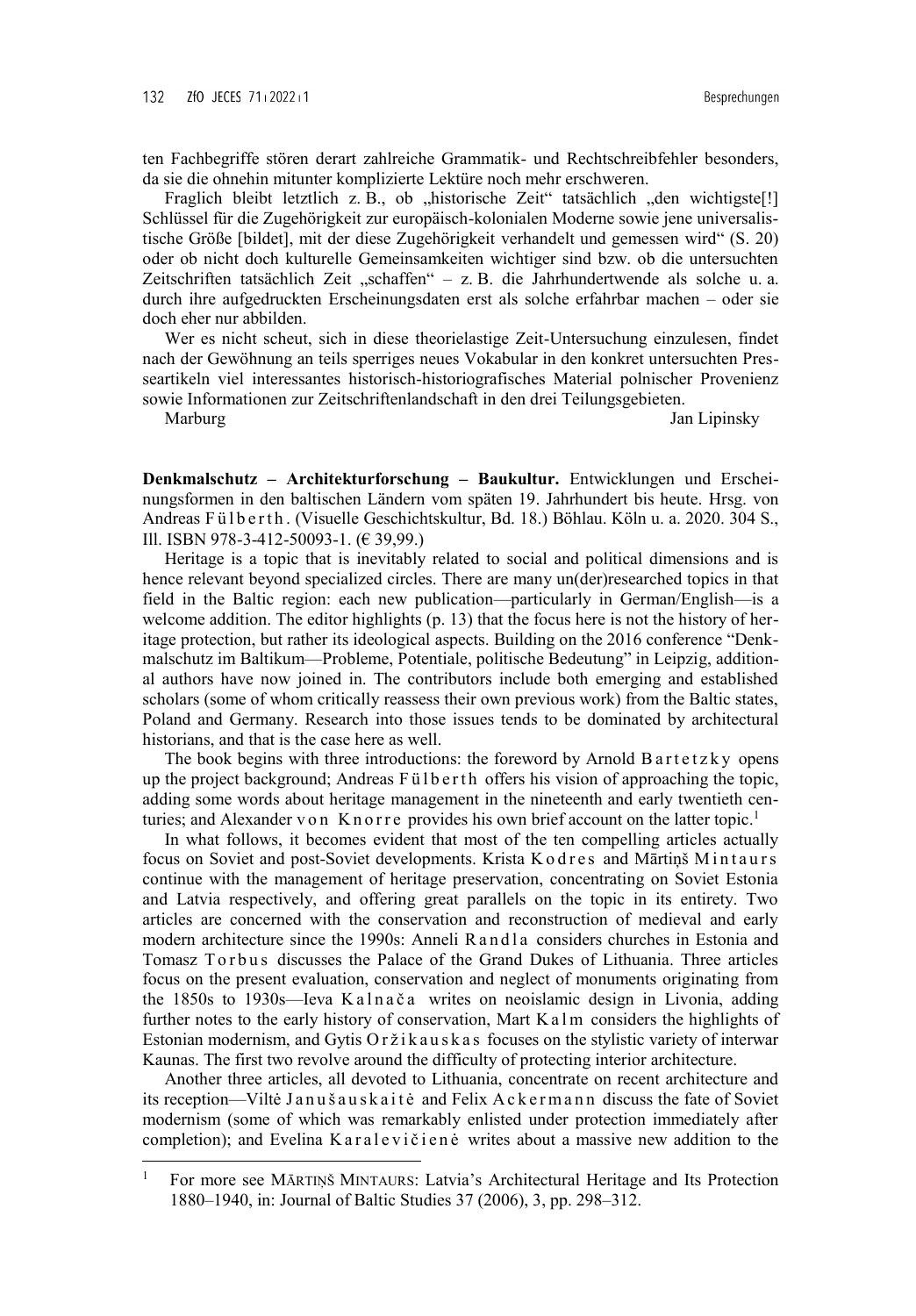ten Fachbegriffe stören derart zahlreiche Grammatik- und Rechtschreibfehler besonders, da sie die ohnehin mitunter komplizierte Lektüre noch mehr erschweren.

Fraglich bleibt letztlich z. B., ob "historische Zeit" tatsächlich "den wichtigste<sup>[!]</sup> Schlüssel für die Zugehörigkeit zur europäisch-kolonialen Moderne sowie jene universalistische Größe [bildet], mit der diese Zugehörigkeit verhandelt und gemessen wird" (S. 20) oder ob nicht doch kulturelle Gemeinsamkeiten wichtiger sind bzw. ob die untersuchten Zeitschriften tatsächlich Zeit "schaffen" – z. B. die Jahrhundertwende als solche u. a. durch ihre aufgedruckten Erscheinungsdaten erst als solche erfahrbar machen – oder sie doch eher nur abbilden.

Wer es nicht scheut, sich in diese theorielastige Zeit-Untersuchung einzulesen, findet nach der Gewöhnung an teils sperriges neues Vokabular in den konkret untersuchten Presseartikeln viel interessantes historisch-historiografisches Material polnischer Provenienz sowie Informationen zur Zeitschriftenlandschaft in den drei Teilungsgebieten.

 $\overline{a}$ 

Marburg Jan Lipinsky

**Denkmalschutz – Architekturforschung – Baukultur.** Entwicklungen und Erscheinungsformen in den baltischen Ländern vom späten 19. Jahrhundert bis heute. Hrsg. von Andreas Fülberth. (Visuelle Geschichtskultur, Bd. 18.) Böhlau. Köln u. a. 2020. 304 S., Ill. ISBN 978-3-412-50093-1. (€ 39,99.)

Heritage is a topic that is inevitably related to social and political dimensions and is hence relevant beyond specialized circles. There are many un(der)researched topics in that field in the Baltic region: each new publication—particularly in German/English—is a welcome addition. The editor highlights (p. 13) that the focus here is not the history of heritage protection, but rather its ideological aspects. Building on the 2016 conference "Denkmalschutz im Baltikum—Probleme, Potentiale, politische Bedeutung" in Leipzig, additional authors have now joined in. The contributors include both emerging and established scholars (some of whom critically reassess their own previous work) from the Baltic states, Poland and Germany. Research into those issues tends to be dominated by architectural historians, and that is the case here as well.

The book begins with three introductions: the foreword by Arnold B a  $\text{rtetzky}$  opens up the project background; Andreas Fülb erth offers his vision of approaching the topic, adding some words about heritage management in the nineteenth and early twentieth centuries; and Alexander v on K n o r r e provides his own brief account on the latter topic.<sup>1</sup>

In what follows, it becomes evident that most of the ten compelling articles actually focus on Soviet and post-Soviet developments. Krista K o d r e s and Mārtiņš M in t a u r s continue with the management of heritage preservation, concentrating on Soviet Estonia and Latvia respectively, and offering great parallels on the topic in its entirety. Two articles are concerned with the conservation and reconstruction of medieval and early modern architecture since the 1990s: Anneli R a n d l a considers churches in Estonia and Tomasz Torbus discusses the Palace of the Grand Dukes of Lithuania. Three articles focus on the present evaluation, conservation and neglect of monuments originating from the 1850s to 1930s—Ieva K a l n a č a writes on neoislamic design in Livonia, adding further notes to the early history of conservation, Mart K a l m considers the highlights of Estonian modernism, and Gytis Oržikauskas focuses on the stylistic variety of interwar Kaunas. The first two revolve around the difficulty of protecting interior architecture.

Another three articles, all devoted to Lithuania, concentrate on recent architecture and its reception—Viltė Janušaus kai tė and Felix A c k er mann discuss the fate of Soviet modernism (some of which was remarkably enlisted under protection immediately after completion); and Evelina K a r alevičiene writes about a massive new addition to the

<sup>1</sup> For more see MĀRTIŅŠ MINTAURS: Latvia's Architectural Heritage and Its Protection 1880–1940, in: Journal of Baltic Studies 37 (2006), 3, pp. 298–312.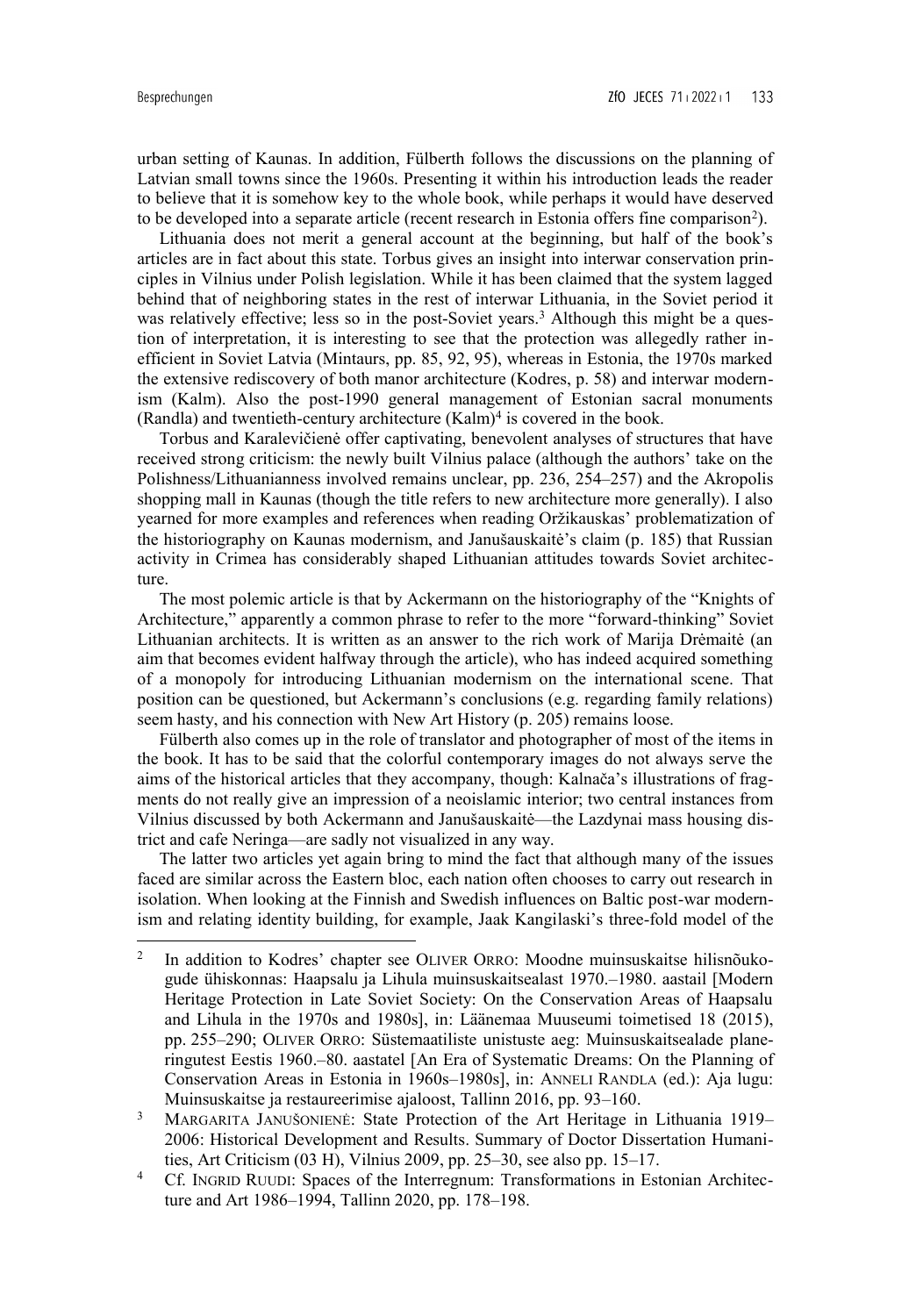$\overline{a}$ 

urban setting of Kaunas. In addition, Fülberth follows the discussions on the planning of Latvian small towns since the 1960s. Presenting it within his introduction leads the reader to believe that it is somehow key to the whole book, while perhaps it would have deserved to be developed into a separate article (recent research in Estonia offers fine comparison<sup>2</sup>).

Lithuania does not merit a general account at the beginning, but half of the book's articles are in fact about this state. Torbus gives an insight into interwar conservation principles in Vilnius under Polish legislation. While it has been claimed that the system lagged behind that of neighboring states in the rest of interwar Lithuania, in the Soviet period it was relatively effective; less so in the post-Soviet years.<sup>3</sup> Although this might be a question of interpretation, it is interesting to see that the protection was allegedly rather inefficient in Soviet Latvia (Mintaurs, pp. 85, 92, 95), whereas in Estonia, the 1970s marked the extensive rediscovery of both manor architecture (Kodres, p. 58) and interwar modernism (Kalm). Also the post-1990 general management of Estonian sacral monuments (Randla) and twentieth-century architecture  $(Kalm)^4$  is covered in the book.

Torbus and Karalevičienė offer captivating, benevolent analyses of structures that have received strong criticism: the newly built Vilnius palace (although the authors' take on the Polishness/Lithuanianness involved remains unclear, pp. 236, 254–257) and the Akropolis shopping mall in Kaunas (though the title refers to new architecture more generally). I also yearned for more examples and references when reading Oržikauskas' problematization of the historiography on Kaunas modernism, and Janušauskaitė's claim (p. 185) that Russian activity in Crimea has considerably shaped Lithuanian attitudes towards Soviet architecture.

The most polemic article is that by Ackermann on the historiography of the "Knights of Architecture," apparently a common phrase to refer to the more "forward-thinking" Soviet Lithuanian architects. It is written as an answer to the rich work of Marija Drėmaitė (an aim that becomes evident halfway through the article), who has indeed acquired something of a monopoly for introducing Lithuanian modernism on the international scene. That position can be questioned, but Ackermann's conclusions (e.g. regarding family relations) seem hasty, and his connection with New Art History (p. 205) remains loose.

Fülberth also comes up in the role of translator and photographer of most of the items in the book. It has to be said that the colorful contemporary images do not always serve the aims of the historical articles that they accompany, though: Kalnača's illustrations of fragments do not really give an impression of a neoislamic interior; two central instances from Vilnius discussed by both Ackermann and Janušauskaitė—the Lazdynai mass housing district and cafe Neringa—are sadly not visualized in any way.

The latter two articles yet again bring to mind the fact that although many of the issues faced are similar across the Eastern bloc, each nation often chooses to carry out research in isolation. When looking at the Finnish and Swedish influences on Baltic post-war modernism and relating identity building, for example, Jaak Kangilaski's three-fold model of the

<sup>2</sup> In addition to Kodres' chapter see OLIVER ORRO: Moodne muinsuskaitse hilisnõukogude ühiskonnas: Haapsalu ja Lihula muinsuskaitsealast 1970.–1980. aastail [Modern Heritage Protection in Late Soviet Society: On the Conservation Areas of Haapsalu and Lihula in the 1970s and 1980s], in: Läänemaa Muuseumi toimetised 18 (2015), pp. 255–290; OLIVER ORRO: Süstemaatiliste unistuste aeg: Muinsuskaitsealade planeringutest Eestis 1960.–80. aastatel [An Era of Systematic Dreams: On the Planning of Conservation Areas in Estonia in 1960s–1980s], in: ANNELI RANDLA (ed.): Aja lugu: Muinsuskaitse ja restaureerimise ajaloost, Tallinn 2016, pp. 93–160.

<sup>&</sup>lt;sup>3</sup> MARGARITA JANUŠONIENĖ: State Protection of the Art Heritage in Lithuania 1919– 2006: Historical Development and Results. Summary of Doctor Dissertation Humanities, Art Criticism (03 H), Vilnius 2009, pp. 25–30, see also pp. 15–17.

<sup>&</sup>lt;sup>4</sup> Cf. INGRID RUUDI: Spaces of the Interregnum: Transformations in Estonian Architecture and Art 1986–1994, Tallinn 2020, pp. 178–198.